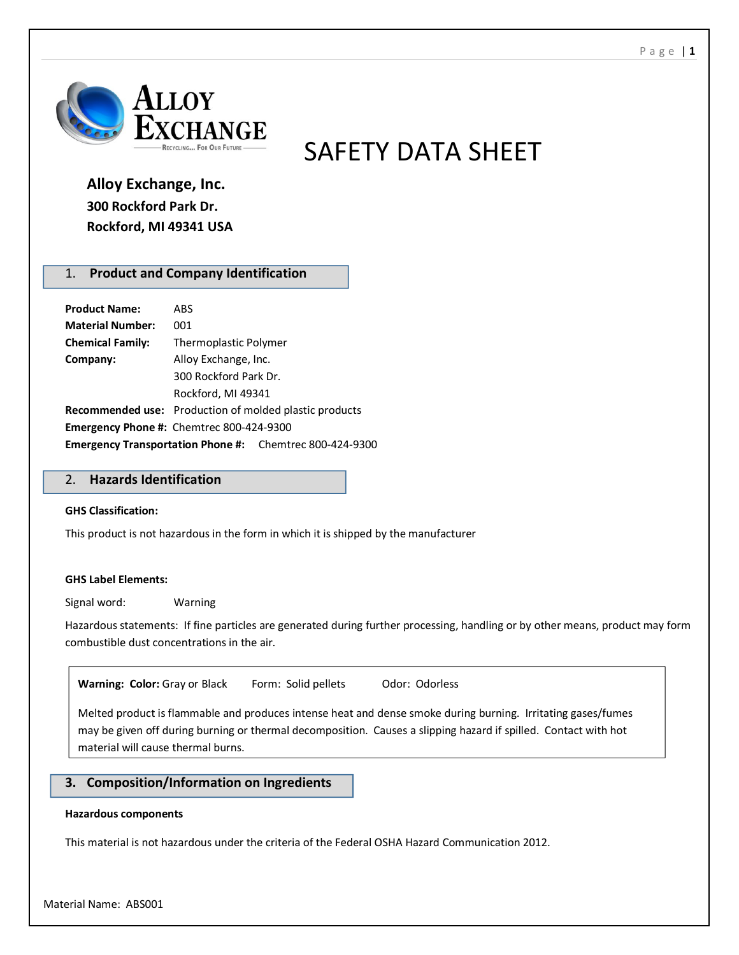

# SAFETY DATA SHEET

# **Alloy Exchange, Inc. 300 Rockford Park Dr. Rockford, MI 49341 USA**

# 1. **Product and Company Identification**

| <b>Product Name:</b>                                           | ABS                                                           |  |
|----------------------------------------------------------------|---------------------------------------------------------------|--|
| <b>Material Number:</b>                                        | 001                                                           |  |
| <b>Chemical Family:</b>                                        | Thermoplastic Polymer                                         |  |
| Company:                                                       | Alloy Exchange, Inc.                                          |  |
|                                                                | 300 Rockford Park Dr.                                         |  |
|                                                                | Rockford, MI 49341                                            |  |
|                                                                | <b>Recommended use:</b> Production of molded plastic products |  |
| <b>Emergency Phone #:</b> Chemtrec 800-424-9300                |                                                               |  |
| <b>Emergency Transportation Phone #:</b> Chemtrec 800-424-9300 |                                                               |  |

# 2. **Hazards Identification**

#### **GHS Classification:**

This product is not hazardous in the form in which it is shipped by the manufacturer

#### **GHS Label Elements:**

Signal word: Warning

Hazardous statements: If fine particles are generated during further processing, handling or by other means, product may form combustible dust concentrations in the air.

Warning: Color: Gray or Black Form: Solid pellets Odor: Odorless

Melted product is flammable and produces intense heat and dense smoke during burning. Irritating gases/fumes may be given off during burning or thermal decomposition. Causes a slipping hazard if spilled. Contact with hot material will cause thermal burns.

# **3. Composition/Information on Ingredients**

#### **Hazardous components**

This material is not hazardous under the criteria of the Federal OSHA Hazard Communication 2012.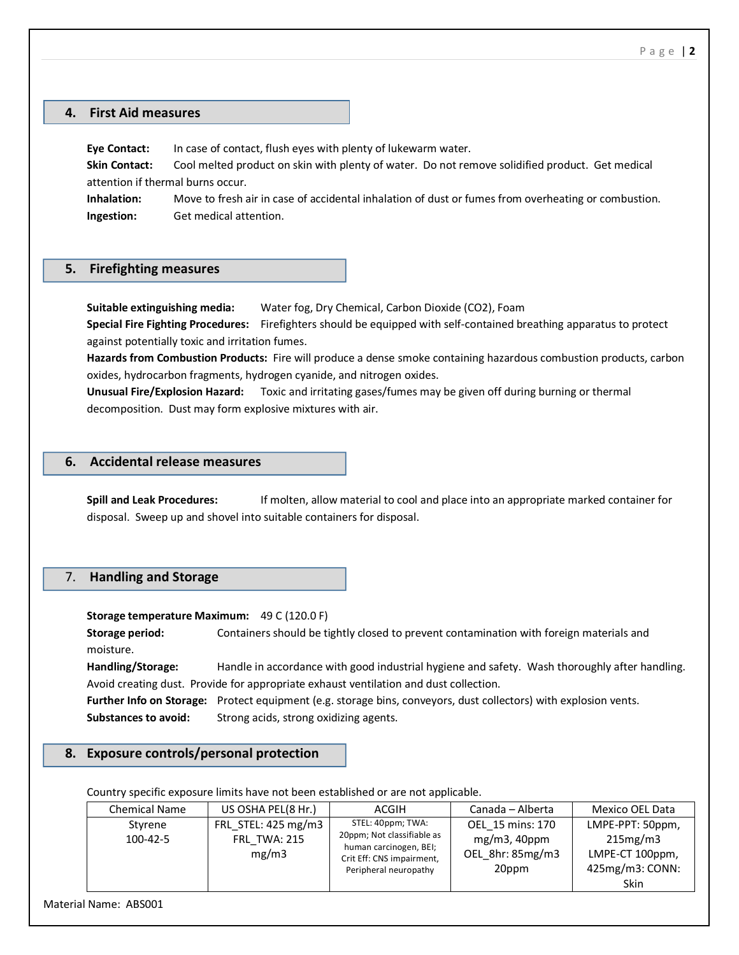#### **4. First Aid measures**

**Eye Contact:** In case of contact, flush eyes with plenty of lukewarm water.

**Skin Contact:** Cool melted product on skin with plenty of water. Do not remove solidified product. Get medical attention if thermal burns occur.

**Inhalation:** Move to fresh air in case of accidental inhalation of dust or fumes from overheating or combustion. **Ingestion:** Get medical attention.

#### **5. Firefighting measures**

**Suitable extinguishing media:** Water fog, Dry Chemical, Carbon Dioxide (CO2), Foam **Special Fire Fighting Procedures:** Firefighters should be equipped with self-contained breathing apparatus to protect against potentially toxic and irritation fumes.

**Hazards from Combustion Products:** Fire will produce a dense smoke containing hazardous combustion products, carbon oxides, hydrocarbon fragments, hydrogen cyanide, and nitrogen oxides.

**Unusual Fire/Explosion Hazard:** Toxic and irritating gases/fumes may be given off during burning or thermal decomposition. Dust may form explosive mixtures with air.

#### **6. Accidental release measures**

**Spill and Leak Procedures:** If molten, allow material to cool and place into an appropriate marked container for disposal. Sweep up and shovel into suitable containers for disposal.

#### 7. **Handling and Storage**

**Storage temperature Maximum:** 49 C (120.0 F)

**Storage period:** Containers should be tightly closed to prevent contamination with foreign materials and moisture.

**Handling/Storage:** Handle in accordance with good industrial hygiene and safety. Wash thoroughly after handling. Avoid creating dust. Provide for appropriate exhaust ventilation and dust collection.

**Further Info on Storage:** Protect equipment (e.g. storage bins, conveyors, dust collectors) with explosion vents. Substances to avoid: Strong acids, strong oxidizing agents.

#### **8. Exposure controls/personal protection**

Country specific exposure limits have not been established or are not applicable.

| <b>Chemical Name</b> | US OSHA PEL(8 Hr.)           | ACGIH                                                                                                      | Canada – Alberta                          | Mexico OEL Data                                   |
|----------------------|------------------------------|------------------------------------------------------------------------------------------------------------|-------------------------------------------|---------------------------------------------------|
| Styrene              | FRL STEL: 425 mg/m3          | STEL: 40ppm; TWA:                                                                                          | OEL 15 mins: 170                          | LMPE-PPT: 50ppm,                                  |
| $100 - 42 - 5$       | <b>FRL TWA: 215</b><br>mg/m3 | 20ppm; Not classifiable as<br>human carcinogen, BEI;<br>Crit Eff: CNS impairment,<br>Peripheral neuropathy | mg/m3, 40ppm<br>OEL 8hr: 85mg/m3<br>20ppm | 215mg/m3<br>LMPE-CT 100ppm,<br>$425mg/m3$ : CONN: |
|                      |                              |                                                                                                            |                                           | Skin                                              |

Material Name: ABS001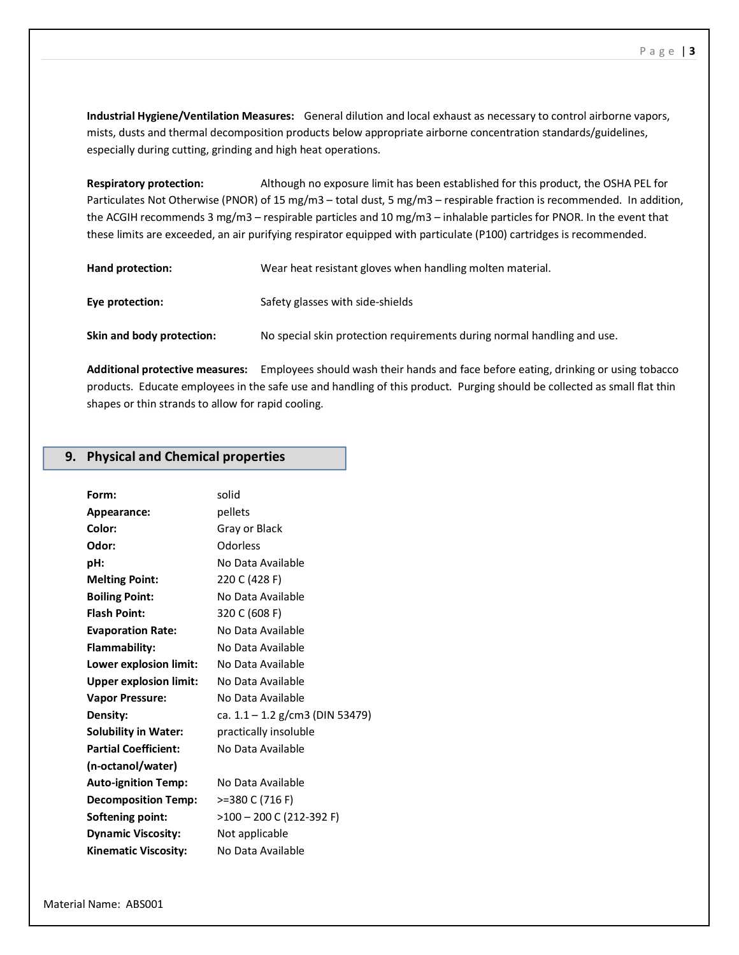**Industrial Hygiene/Ventilation Measures:** General dilution and local exhaust as necessary to control airborne vapors, mists, dusts and thermal decomposition products below appropriate airborne concentration standards/guidelines, especially during cutting, grinding and high heat operations.

**Respiratory protection:** Although no exposure limit has been established for this product, the OSHA PEL for Particulates Not Otherwise (PNOR) of 15 mg/m3 – total dust, 5 mg/m3 – respirable fraction is recommended. In addition, the ACGIH recommends 3 mg/m3 – respirable particles and 10 mg/m3 – inhalable particles for PNOR. In the event that these limits are exceeded, an air purifying respirator equipped with particulate (P100) cartridges is recommended.

| Hand protection:          | Wear heat resistant gloves when handling molten material.               |
|---------------------------|-------------------------------------------------------------------------|
| Eye protection:           | Safety glasses with side-shields                                        |
| Skin and body protection: | No special skin protection requirements during normal handling and use. |

**Additional protective measures:** Employees should wash their hands and face before eating, drinking or using tobacco products. Educate employees in the safe use and handling of this product. Purging should be collected as small flat thin shapes or thin strands to allow for rapid cooling.

#### **9. Physical and Chemical properties**

| solid                           |
|---------------------------------|
| pellets                         |
| Gray or Black                   |
| Odorless                        |
| No Data Available               |
| 220 C (428 F)                   |
| No Data Available               |
| 320 C (608 F)                   |
| No Data Available               |
| No Data Available               |
| No Data Available               |
| No Data Available               |
| No Data Available               |
| ca. 1.1 – 1.2 g/cm3 (DIN 53479) |
| practically insoluble           |
| No Data Available               |
|                                 |
| No Data Available               |
| >=380 C (716 F)                 |
| $>100 - 200$ C (212-392 F)      |
| Not applicable                  |
| No Data Available               |
|                                 |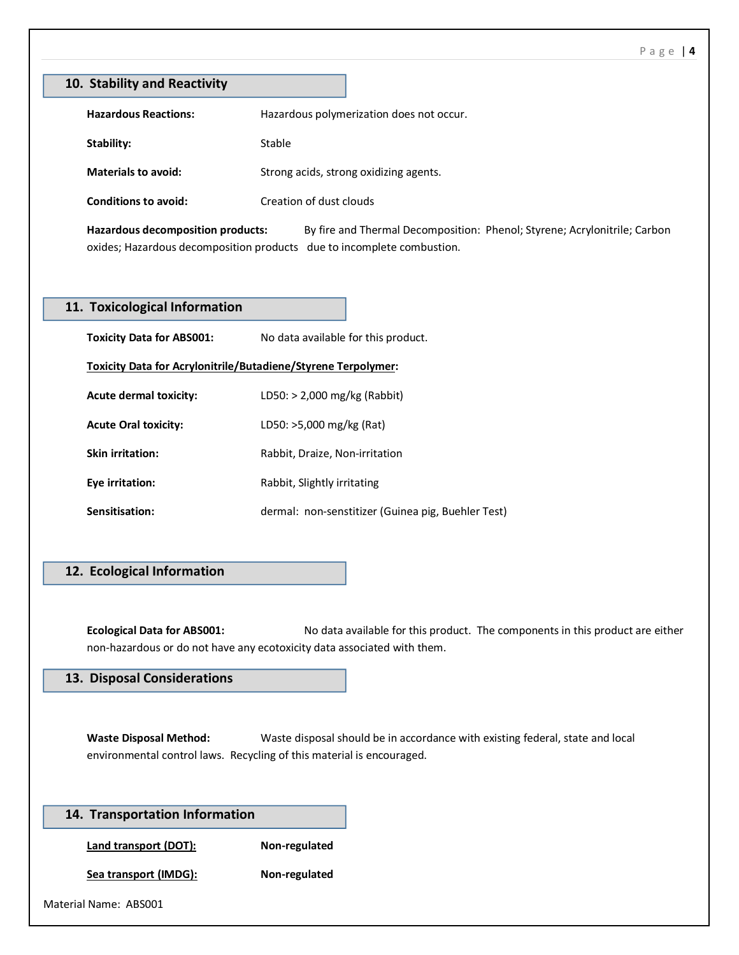|                                                                                                 | 10. Stability and Reactivity                                                                                                                             |
|-------------------------------------------------------------------------------------------------|----------------------------------------------------------------------------------------------------------------------------------------------------------|
| <b>Hazardous Reactions:</b>                                                                     | Hazardous polymerization does not occur.                                                                                                                 |
| Stability:                                                                                      | Stable                                                                                                                                                   |
| <b>Materials to avoid:</b>                                                                      | Strong acids, strong oxidizing agents.                                                                                                                   |
| <b>Conditions to avoid:</b>                                                                     | Creation of dust clouds                                                                                                                                  |
| <b>Hazardous decomposition products:</b>                                                        | By fire and Thermal Decomposition: Phenol; Styrene; Acrylonitrile; Carbon<br>oxides; Hazardous decomposition products due to incomplete combustion.      |
| 11. Toxicological Information                                                                   |                                                                                                                                                          |
| <b>Toxicity Data for ABS001:</b>                                                                | No data available for this product.                                                                                                                      |
|                                                                                                 | Toxicity Data for Acrylonitrile/Butadiene/Styrene Terpolymer:                                                                                            |
| <b>Acute dermal toxicity:</b>                                                                   | LD50: > 2,000 mg/kg (Rabbit)                                                                                                                             |
| <b>Acute Oral toxicity:</b>                                                                     | LD50: >5,000 mg/kg (Rat)                                                                                                                                 |
| <b>Skin irritation:</b>                                                                         | Rabbit, Draize, Non-irritation                                                                                                                           |
|                                                                                                 |                                                                                                                                                          |
| Eye irritation:                                                                                 | Rabbit, Slightly irritating                                                                                                                              |
| Sensitisation:                                                                                  | dermal: non-senstitizer (Guinea pig, Buehler Test)                                                                                                       |
|                                                                                                 |                                                                                                                                                          |
|                                                                                                 |                                                                                                                                                          |
| 12. Ecological Information<br><b>Ecological Data for ABS001:</b><br>13. Disposal Considerations | No data available for this product. The components in this product are either<br>non-hazardous or do not have any ecotoxicity data associated with them. |
| <b>Waste Disposal Method:</b>                                                                   | Waste disposal should be in accordance with existing federal, state and local<br>environmental control laws. Recycling of this material is encouraged.   |
|                                                                                                 |                                                                                                                                                          |
| 14. Transportation Information<br><b>Land transport (DOT):</b>                                  | Non-regulated                                                                                                                                            |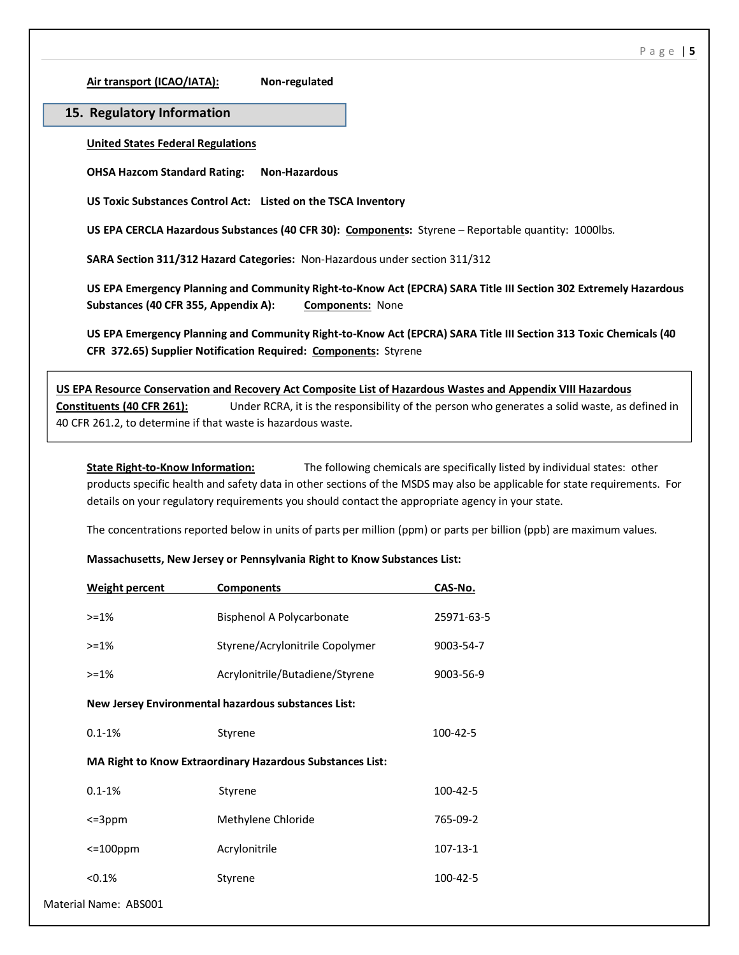**Air transport (ICAO/IATA): Non-regulated**

# **15. Regulatory Information**

**United States Federal Regulations**

**OHSA Hazcom Standard Rating: Non-Hazardous**

**US Toxic Substances Control Act: Listed on the TSCA Inventory**

**US EPA CERCLA Hazardous Substances (40 CFR 30): Components:** Styrene – Reportable quantity: 1000lbs.

**SARA Section 311/312 Hazard Categories:** Non-Hazardous under section 311/312

**US EPA Emergency Planning and Community Right-to-Know Act (EPCRA) SARA Title III Section 302 Extremely Hazardous Substances (40 CFR 355, Appendix A): Components:** None

**US EPA Emergency Planning and Community Right-to-Know Act (EPCRA) SARA Title III Section 313 Toxic Chemicals (40 CFR 372.65) Supplier Notification Required: Components:** Styrene

**US EPA Resource Conservation and Recovery Act Composite List of Hazardous Wastes and Appendix VIII Hazardous Constituents (40 CFR 261):** Under RCRA, it is the responsibility of the person who generates a solid waste, as defined in 40 CFR 261.2, to determine if that waste is hazardous waste.

**State Right-to-Know Information:** The following chemicals are specifically listed by individual states: other products specific health and safety data in other sections of the MSDS may also be applicable for state requirements. For details on your regulatory requirements you should contact the appropriate agency in your state.

The concentrations reported below in units of parts per million (ppm) or parts per billion (ppb) are maximum values.

#### **Massachusetts, New Jersey or Pennsylvania Right to Know Substances List:**

| <b>Weight percent</b>                                     | <b>Components</b>               | CAS-No.    |
|-----------------------------------------------------------|---------------------------------|------------|
| $> = 1\%$                                                 | Bisphenol A Polycarbonate       | 25971-63-5 |
| $> = 1\%$                                                 | Styrene/Acrylonitrile Copolymer | 9003-54-7  |
| $>=1%$                                                    | Acrylonitrile/Butadiene/Styrene | 9003-56-9  |
| New Jersey Environmental hazardous substances List:       |                                 |            |
| $0.1 - 1%$                                                | Styrene                         | 100-42-5   |
| MA Right to Know Extraordinary Hazardous Substances List: |                                 |            |
| $0.1 - 1%$                                                | Styrene                         | 100-42-5   |
| $\leq$ =3ppm                                              | Methylene Chloride              | 765-09-2   |
| $\leq$ 100ppm                                             | Acrylonitrile                   | 107-13-1   |
| < 0.1%                                                    | Styrene                         | 100-42-5   |
| Material Name: ABS001                                     |                                 |            |